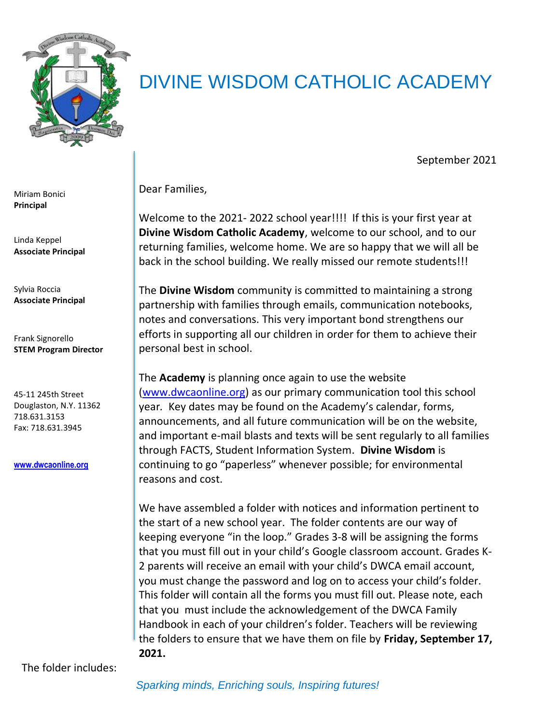

## DIVINE WISDOM CATHOLIC ACADEMY

September 2021

Dear Families,

Welcome to the 2021- 2022 school year!!!! If this is your first year at **Divine Wisdom Catholic Academy**, welcome to our school, and to our returning families, welcome home. We are so happy that we will all be back in the school building. We really missed our remote students!!!

The **Divine Wisdom** community is committed to maintaining a strong partnership with families through emails, communication notebooks, notes and conversations. This very important bond strengthens our efforts in supporting all our children in order for them to achieve their personal best in school.

The **Academy** is planning once again to use the website [\(www.dwcaonline.org\)](http://www.dwcaonline.org/) as our primary communication tool this school year*.* Key dates may be found on the Academy's calendar, forms, announcements, and all future communication will be on the website, and important e-mail blasts and texts will be sent regularly to all families through FACTS, Student Information System. **Divine Wisdom** is continuing to go "paperless" whenever possible; for environmental reasons and cost.

We have assembled a folder with notices and information pertinent to the start of a new school year. The folder contents are our way of keeping everyone "in the loop." Grades 3-8 will be assigning the forms that you must fill out in your child's Google classroom account. Grades K-2 parents will receive an email with your child's DWCA email account, you must change the password and log on to access your child's folder. This folder will contain all the forms you must fill out. Please note, each that you must include the acknowledgement of the DWCA Family Handbook in each of your children's folder. Teachers will be reviewing the folders to ensure that we have them on file by **Friday, September 17, 2021.**

Miriam Bonici **Principal**

Linda Keppel **Associate Principal**

Sylvia Roccia **Associate Principal**

Frank Signorello **STEM Program Director**

45-11 245th Street Douglaston, N.Y. 11362 718.631.3153 Fax: 718.631.3945

**[www.dwcaonline.org](http://www.dwcaonline.org/)**

The folder includes: